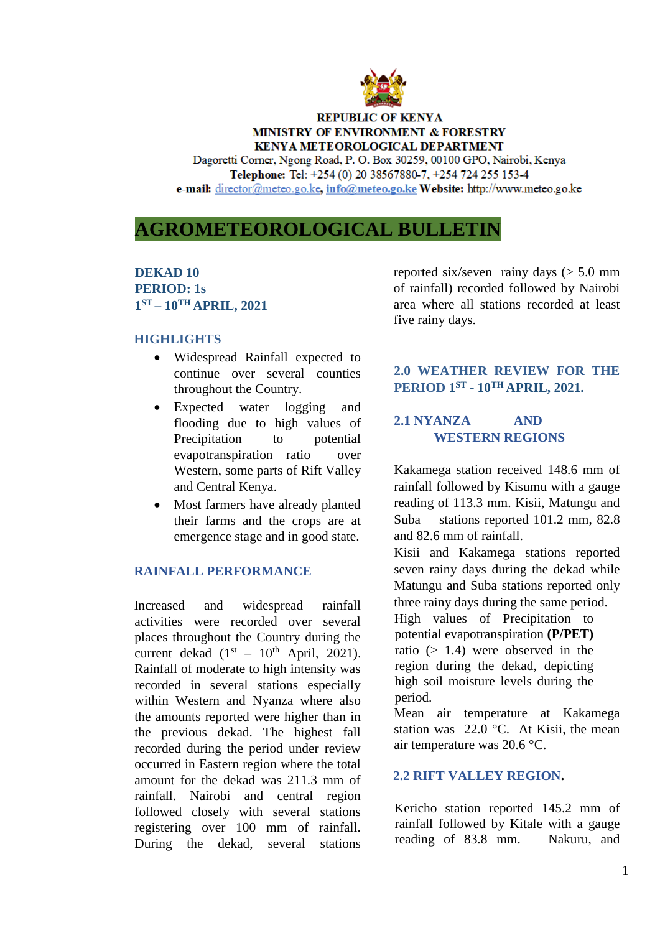

#### **REPUBLIC OF KENYA MINISTRY OF ENVIRONMENT & FORESTRY KENYA METEOROLOGICAL DEPARTMENT**

Dagoretti Corner, Ngong Road, P. O. Box 30259, 00100 GPO, Nairobi, Kenya Telephone: Tel: +254 (0) 20 38567880-7, +254 724 255 153-4 e-mail: director@meteo.go.ke, info@meteo.go.ke Website: http://www.meteo.go.ke

# **AGROMETEOROLOGICAL BULLETIN**

## **DEKAD 10 PERIOD: 1s 1 ST – 10 TH APRIL, 2021**

#### **HIGHLIGHTS**

- Widespread Rainfall expected to continue over several counties throughout the Country.
- Expected water logging and flooding due to high values of Precipitation to potential evapotranspiration ratio over Western, some parts of Rift Valley and Central Kenya.
- Most farmers have already planted their farms and the crops are at emergence stage and in good state.

### **RAINFALL PERFORMANCE**

Increased and widespread rainfall activities were recorded over several places throughout the Country during the current dekad  $(1<sup>st</sup> - 10<sup>th</sup>$  April, 2021). Rainfall of moderate to high intensity was recorded in several stations especially within Western and Nyanza where also the amounts reported were higher than in the previous dekad. The highest fall recorded during the period under review occurred in Eastern region where the total amount for the dekad was 211.3 mm of rainfall. Nairobi and central region followed closely with several stations registering over 100 mm of rainfall. During the dekad, several stations reported six/seven rainy days (> 5.0 mm of rainfall) recorded followed by Nairobi area where all stations recorded at least five rainy days.

## **2.0 WEATHER REVIEW FOR THE PERIOD 1 ST - 10TH APRIL, 2021.**

## **2.1 NYANZA AND WESTERN REGIONS**

Kakamega station received 148.6 mm of rainfall followed by Kisumu with a gauge reading of 113.3 mm. Kisii, Matungu and Suba stations reported 101.2 mm, 82.8 and 82.6 mm of rainfall.

Kisii and Kakamega stations reported seven rainy days during the dekad while Matungu and Suba stations reported only three rainy days during the same period. High values of Precipitation to

potential evapotranspiration **(P/PET)** ratio (> 1.4) were observed in the region during the dekad, depicting high soil moisture levels during the period.

Mean air temperature at Kakamega station was  $22.0$  °C. At Kisii, the mean air temperature was 20.6 °C.

### **2.2 RIFT VALLEY REGION.**

Kericho station reported 145.2 mm of rainfall followed by Kitale with a gauge reading of 83.8 mm. Nakuru, and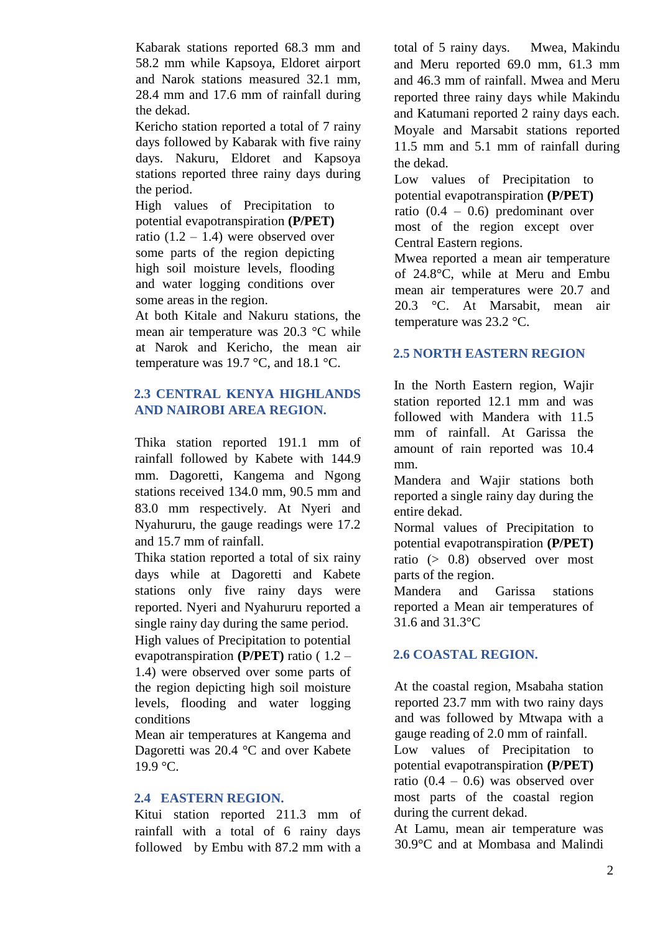Kabarak stations reported 68.3 mm and 58.2 mm while Kapsoya, Eldoret airport and Narok stations measured 32.1 mm, 28.4 mm and 17.6 mm of rainfall during the dekad.

Kericho station reported a total of 7 rainy days followed by Kabarak with five rainy days. Nakuru, Eldoret and Kapsoya stations reported three rainy days during the period.

High values of Precipitation to potential evapotranspiration **(P/PET)** ratio  $(1.2 - 1.4)$  were observed over some parts of the region depicting high soil moisture levels, flooding and water logging conditions over some areas in the region.

At both Kitale and Nakuru stations, the mean air temperature was 20.3 °C while at Narok and Kericho, the mean air temperature was 19.7  $\degree$ C, and 18.1  $\degree$ C.

## **2.3 CENTRAL KENYA HIGHLANDS AND NAIROBI AREA REGION.**

Thika station reported 191.1 mm of rainfall followed by Kabete with 144.9 mm. Dagoretti, Kangema and Ngong stations received 134.0 mm, 90.5 mm and 83.0 mm respectively. At Nyeri and Nyahururu, the gauge readings were 17.2 and 15.7 mm of rainfall.

Thika station reported a total of six rainy days while at Dagoretti and Kabete stations only five rainy days were reported. Nyeri and Nyahururu reported a single rainy day during the same period.

High values of Precipitation to potential evapotranspiration **(P/PET)** ratio ( 1.2 – 1.4) were observed over some parts of the region depicting high soil moisture levels, flooding and water logging conditions

Mean air temperatures at Kangema and Dagoretti was 20.4 °C and over Kabete 19.9 °C.

### **2.4 EASTERN REGION.**

Kitui station reported 211.3 mm of rainfall with a total of 6 rainy days followed by Embu with 87.2 mm with a total of 5 rainy days. Mwea, Makindu and Meru reported 69.0 mm, 61.3 mm and 46.3 mm of rainfall. Mwea and Meru reported three rainy days while Makindu and Katumani reported 2 rainy days each. Moyale and Marsabit stations reported 11.5 mm and 5.1 mm of rainfall during the dekad.

Low values of Precipitation to potential evapotranspiration **(P/PET)** ratio (0.4 – 0.6) predominant over most of the region except over Central Eastern regions.

Mwea reported a mean air temperature of 24.8°C, while at Meru and Embu mean air temperatures were 20.7 and 20.3 °C. At Marsabit, mean air temperature was 23.2 °C.

### **2.5 NORTH EASTERN REGION**

In the North Eastern region, Wajir station reported 12.1 mm and was followed with Mandera with 11.5 mm of rainfall. At Garissa the amount of rain reported was 10.4 mm.

Mandera and Wajir stations both reported a single rainy day during the entire dekad.

Normal values of Precipitation to potential evapotranspiration **(P/PET)** ratio (> 0.8) observed over most parts of the region.

Mandera and Garissa stations reported a Mean air temperatures of 31.6 and 31.3°C

#### **2.6 COASTAL REGION.**

At the coastal region, Msabaha station reported 23.7 mm with two rainy days and was followed by Mtwapa with a gauge reading of 2.0 mm of rainfall. Low values of Precipitation to potential evapotranspiration **(P/PET)** ratio  $(0.4 - 0.6)$  was observed over most parts of the coastal region during the current dekad.

At Lamu, mean air temperature was 30.9°C and at Mombasa and Malindi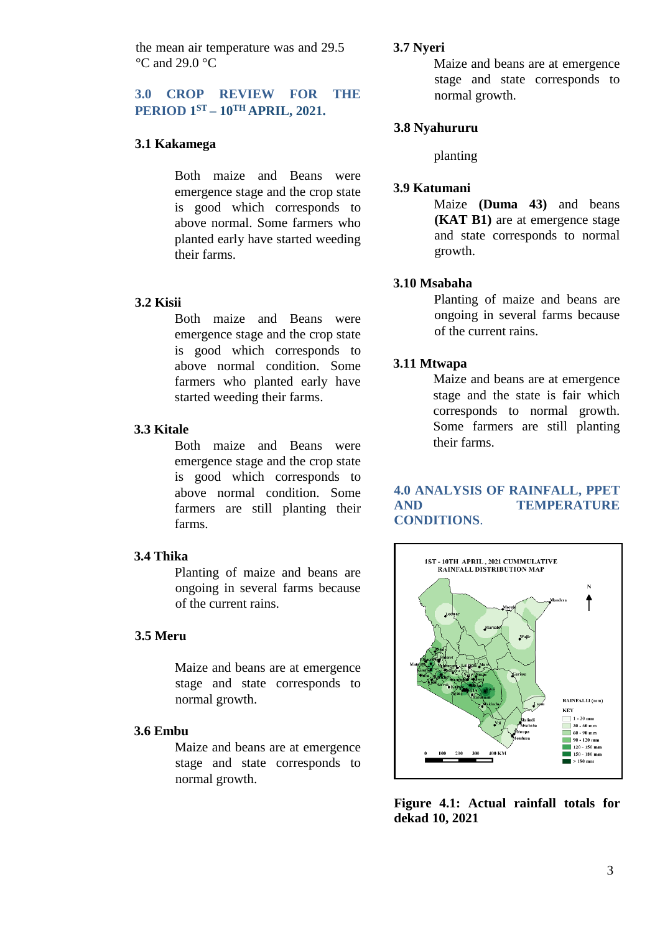the mean air temperature was and 29.5 °C and 29.0 °C

## **3.0 CROP REVIEW FOR THE PERIOD 1 ST – 10TH APRIL, 2021.**

#### **3.1 Kakamega**

Both maize and Beans were emergence stage and the crop state is good which corresponds to above normal. Some farmers who planted early have started weeding their farms.

### **3.2 Kisii**

Both maize and Beans were emergence stage and the crop state is good which corresponds to above normal condition. Some farmers who planted early have started weeding their farms.

#### **3.3 Kitale**

Both maize and Beans were emergence stage and the crop state is good which corresponds to above normal condition. Some farmers are still planting their farms.

### **3.4 Thika**

Planting of maize and beans are ongoing in several farms because of the current rains.

#### **3.5 Meru**

Maize and beans are at emergence stage and state corresponds to normal growth.

#### **3.6 Embu**

Maize and beans are at emergence stage and state corresponds to normal growth.

#### **3.7 Nyeri**

Maize and beans are at emergence stage and state corresponds to normal growth.

### **3.8 Nyahururu**

planting

#### **3.9 Katumani**

Maize **(Duma 43)** and beans **(KAT B1)** are at emergence stage and state corresponds to normal growth.

#### **3.10 Msabaha**

Planting of maize and beans are ongoing in several farms because of the current rains.

#### **3.11 Mtwapa**

Maize and beans are at emergence stage and the state is fair which corresponds to normal growth. Some farmers are still planting their farms.

#### **4.0 ANALYSIS OF RAINFALL, PPET AND TEMPERATURE CONDITIONS**.



**Figure 4.1: Actual rainfall totals for dekad 10, 2021**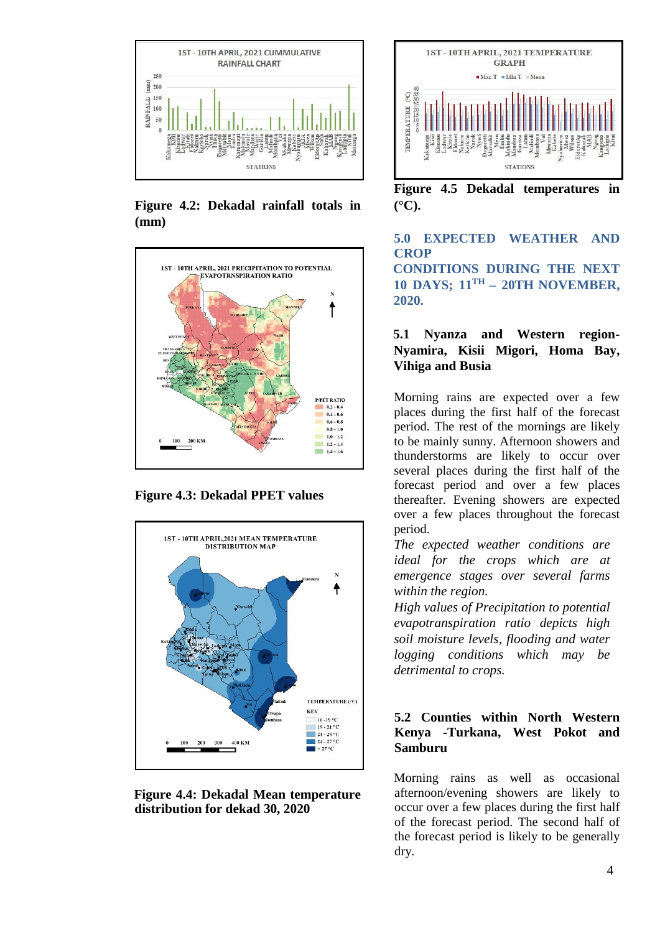

**Figure 4.2: Dekadal rainfall totals in (mm)** 



**Figure 4.3: Dekadal PPET values**



**Figure 4.4: Dekadal Mean temperature distribution for dekad 30, 2020**



**Figure 4.5 Dekadal temperatures in**   $(^{\circ}C)$ .

## **5.0 EXPECTED WEATHER AND CROP**

**CONDITIONS DURING THE NEXT 10 DAYS; 11 TH – 20TH NOVEMBER, 2020.**

## **5.1 Nyanza and Western region-Nyamira, Kisii Migori, Homa Bay, Vihiga and Busia**

Morning rains are expected over a few places during the first half of the forecast period. The rest of the mornings are likely to be mainly sunny. Afternoon showers and thunderstorms are likely to occur over several places during the first half of the forecast period and over a few places thereafter. Evening showers are expected over a few places throughout the forecast period.

*The expected weather conditions are ideal for the crops which are at emergence stages over several farms within the region.*

*High values of Precipitation to potential evapotranspiration ratio depicts high soil moisture levels, flooding and water logging conditions which may be detrimental to crops.*

## **5.2 Counties within North Western Kenya -Turkana, West Pokot and Samburu**

Morning rains as well as occasional afternoon/evening showers are likely to occur over a few places during the first half of the forecast period. The second half of the forecast period is likely to be generally dry.